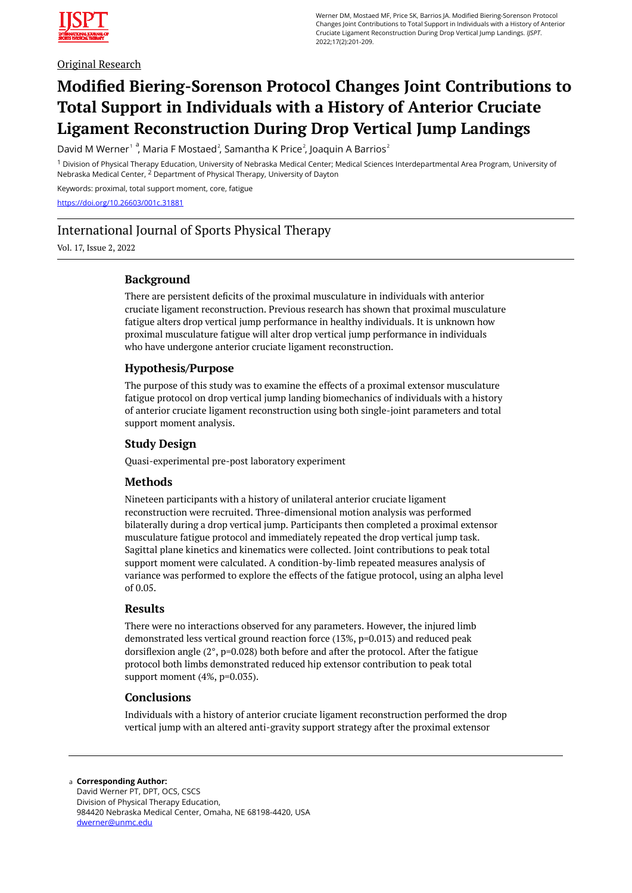

## Original Research

# **Modified Biering-Sorenson Protocol Changes Joint Contributions to Total Support in Individuals with a History of Anterior Cruciate Ligament Reconstruction During Drop Vertical Jump Landings**

David M Werner<sup>1</sup>, Maria F Mostaed<sup>2</sup>, Samantha K Price<sup>2</sup>, Joaquin A Barrios<sup>2</sup>

<sup>1</sup> Division of Physical Therapy Education, University of Nebraska Medical Center; Medical Sciences Interdepartmental Area Program, University of Nebraska Medical Center, <sup>2</sup> Department of Physical Therapy, University of Dayton

Keywords: proximal, total support moment, core, fatigue <https://doi.org/10.26603/001c.31881>

# International Journal of Sports Physical Therapy

Vol. 17, Issue 2, 2022

## **Background**

There are persistent deficits of the proximal musculature in individuals with anterior cruciate ligament reconstruction. Previous research has shown that proximal musculature fatigue alters drop vertical jump performance in healthy individuals. It is unknown how proximal musculature fatigue will alter drop vertical jump performance in individuals who have undergone anterior cruciate ligament reconstruction.

## **Hypothesis/Purpose**

The purpose of this study was to examine the effects of a proximal extensor musculature fatigue protocol on drop vertical jump landing biomechanics of individuals with a history of anterior cruciate ligament reconstruction using both single-joint parameters and total support moment analysis.

## **Study Design**

Quasi-experimental pre-post laboratory experiment

## **Methods**

Nineteen participants with a history of unilateral anterior cruciate ligament reconstruction were recruited. Three-dimensional motion analysis was performed bilaterally during a drop vertical jump. Participants then completed a proximal extensor musculature fatigue protocol and immediately repeated the drop vertical jump task. Sagittal plane kinetics and kinematics were collected. Joint contributions to peak total support moment were calculated. A condition-by-limb repeated measures analysis of variance was performed to explore the effects of the fatigue protocol, using an alpha level of 0.05.

#### **Results**

There were no interactions observed for any parameters. However, the injured limb demonstrated less vertical ground reaction force (13%, p=0.013) and reduced peak dorsiflexion angle (2°, p=0.028) both before and after the protocol. After the fatigue protocol both limbs demonstrated reduced hip extensor contribution to peak total support moment (4%, p=0.035).

## **Conclusions**

Individuals with a history of anterior cruciate ligament reconstruction performed the drop vertical jump with an altered anti-gravity support strategy after the proximal extensor

#### **Corresponding Author:**  a

David Werner PT, DPT, OCS, CSCS Division of Physical Therapy Education, 984420 Nebraska Medical Center, Omaha, NE 68198-4420, USA [dwerner@unmc.edu](mailto:dwerner@unmc.edu)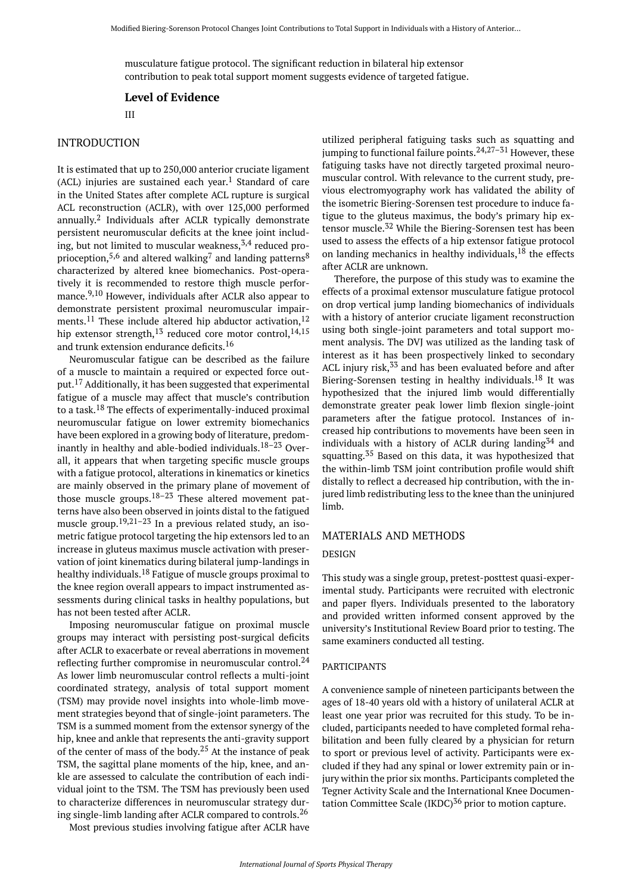musculature fatigue protocol. The significant reduction in bilateral hip extensor contribution to peak total support moment suggests evidence of targeted fatigue.

#### **Level of Evidence**

III

## INTRODUCTION

It is estimated that up to 250,000 anterior cruciate ligament (ACL) injuries are sustained each year. <sup>1</sup> Standard of care in the United States after complete ACL rupture is surgical ACL reconstruction (ACLR), with over 125,000 performed annually. 2 Individuals after ACLR typically demonstrate persistent neuromuscular deficits at the knee joint including, but not limited to muscular weakness,  $3,4$  reduced proprioception,<sup>5,6</sup> and altered walking<sup>7</sup> and landing patterns<sup>8</sup> characterized by altered knee biomechanics. Post-operatively it is recommended to restore thigh muscle performance.<sup>9,10</sup> However, individuals after ACLR also appear to demonstrate persistent proximal neuromuscular impairments.<sup>11</sup> These include altered hip abductor activation,<sup>12</sup> hip extensor strength,<sup>13</sup> reduced core motor control,<sup>14,15</sup> and trunk extension endurance deficits.<sup>16</sup>

Neuromuscular fatigue can be described as the failure of a muscle to maintain a required or expected force output.<sup>17</sup> Additionally, it has been suggested that experimental fatigue of a muscle may affect that muscle's contribution to a task.<sup>18</sup> The effects of experimentally-induced proximal neuromuscular fatigue on lower extremity biomechanics have been explored in a growing body of literature, predominantly in healthy and able-bodied individuals. $18-23$  Overall, it appears that when targeting specific muscle groups with a fatigue protocol, alterations in kinematics or kinetics are mainly observed in the primary plane of movement of those muscle groups.18–23 These altered movement patterns have also been observed in joints distal to the fatigued muscle group.19,21–23 In a previous related study, an isometric fatigue protocol targeting the hip extensors led to an increase in gluteus maximus muscle activation with preservation of joint kinematics during bilateral jump-landings in healthy individuals.<sup>18</sup> Fatigue of muscle groups proximal to the knee region overall appears to impact instrumented assessments during clinical tasks in healthy populations, but has not been tested after ACLR.

Imposing neuromuscular fatigue on proximal muscle groups may interact with persisting post-surgical deficits after ACLR to exacerbate or reveal aberrations in movement reflecting further compromise in neuromuscular control.<sup>24</sup> As lower limb neuromuscular control reflects a multi-joint coordinated strategy, analysis of total support moment (TSM) may provide novel insights into whole-limb movement strategies beyond that of single-joint parameters. The TSM is a summed moment from the extensor synergy of the hip, knee and ankle that represents the anti-gravity support of the center of mass of the body.<sup>25</sup> At the instance of peak TSM, the sagittal plane moments of the hip, knee, and ankle are assessed to calculate the contribution of each individual joint to the TSM. The TSM has previously been used to characterize differences in neuromuscular strategy during single-limb landing after ACLR compared to controls.<sup>26</sup>

Most previous studies involving fatigue after ACLR have

utilized peripheral fatiguing tasks such as squatting and jumping to functional failure points. $24,27-31$  However, these fatiguing tasks have not directly targeted proximal neuromuscular control. With relevance to the current study, previous electromyography work has validated the ability of the isometric Biering-Sorensen test procedure to induce fatigue to the gluteus maximus, the body's primary hip extensor muscle.<sup>32</sup> While the Biering-Sorensen test has been used to assess the effects of a hip extensor fatigue protocol on landing mechanics in healthy individuals, $18$  the effects after ACLR are unknown.

Therefore, the purpose of this study was to examine the effects of a proximal extensor musculature fatigue protocol on drop vertical jump landing biomechanics of individuals with a history of anterior cruciate ligament reconstruction using both single-joint parameters and total support moment analysis. The DVJ was utilized as the landing task of interest as it has been prospectively linked to secondary ACL injury risk,<sup>33</sup> and has been evaluated before and after Biering-Sorensen testing in healthy individuals.<sup>18</sup> It was hypothesized that the injured limb would differentially demonstrate greater peak lower limb flexion single-joint parameters after the fatigue protocol. Instances of increased hip contributions to movements have been seen in individuals with a history of ACLR during landing  $34$  and squatting.<sup>35</sup> Based on this data, it was hypothesized that the within-limb TSM joint contribution profile would shift distally to reflect a decreased hip contribution, with the injured limb redistributing less to the knee than the uninjured limb.

## MATERIALS AND METHODS DESIGN

This study was a single group, pretest-posttest quasi-experimental study. Participants were recruited with electronic and paper flyers. Individuals presented to the laboratory and provided written informed consent approved by the university's Institutional Review Board prior to testing. The same examiners conducted all testing.

#### PARTICIPANTS

A convenience sample of nineteen participants between the ages of 18-40 years old with a history of unilateral ACLR at least one year prior was recruited for this study. To be included, participants needed to have completed formal rehabilitation and been fully cleared by a physician for return to sport or previous level of activity. Participants were excluded if they had any spinal or lower extremity pain or injury within the prior six months. Participants completed the Tegner Activity Scale and the International Knee Documentation Committee Scale  $(KDC)^{56}$  prior to motion capture.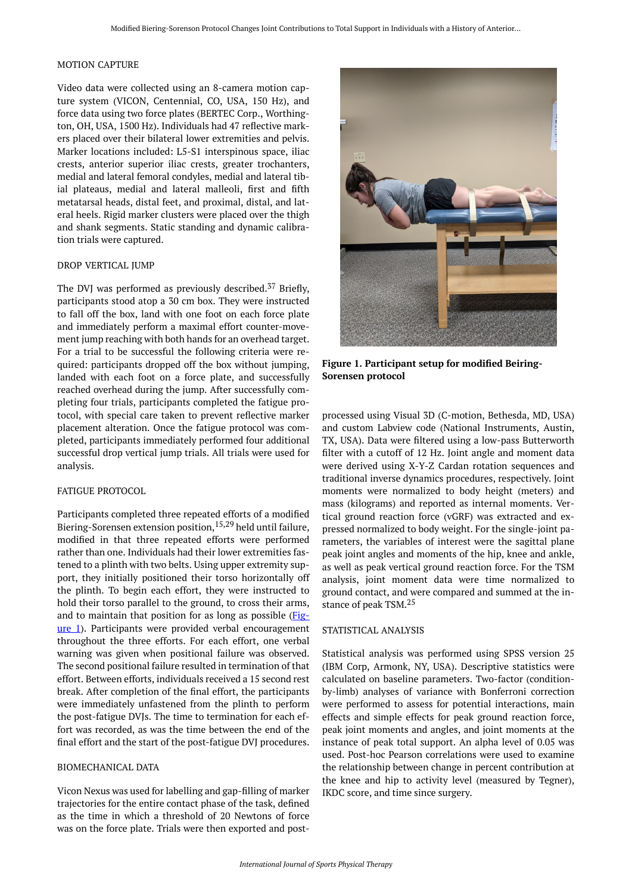#### <span id="page-2-0"></span>MOTION CAPTURE

Video data were collected using an 8-camera motion capture system (VICON, Centennial, CO, USA, 150 Hz), and force data using two force plates (BERTEC Corp., Worthington, OH, USA, 1500 Hz). Individuals had 47 reflective markers placed over their bilateral lower extremities and pelvis. Marker locations included: L5-S1 interspinous space, iliac crests, anterior superior iliac crests, greater trochanters, medial and lateral femoral condyles, medial and lateral tibial plateaus, medial and lateral malleoli, first and fifth metatarsal heads, distal feet, and proximal, distal, and lateral heels. Rigid marker clusters were placed over the thigh and shank segments. Static standing and dynamic calibration trials were captured.

#### DROP VERTICAL JUMP

The DVI was performed as previously described.<sup>37</sup> Briefly, participants stood atop a 30 cm box. They were instructed to fall off the box, land with one foot on each force plate and immediately perform a maximal effort counter-movement jump reaching with both hands for an overhead target. For a trial to be successful the following criteria were required: participants dropped off the box without jumping, landed with each foot on a force plate, and successfully reached overhead during the jump. After successfully completing four trials, participants completed the fatigue protocol, with special care taken to prevent reflective marker placement alteration. Once the fatigue protocol was completed, participants immediately performed four additional successful drop vertical jump trials. All trials were used for analysis.

#### FATIGUE PROTOCOL

Participants completed three repeated efforts of a modified Biering-Sorensen extension position,  $15,29$  held until failure, modified in that three repeated efforts were performed rather than one. Individuals had their lower extremities fastened to a plinth with two belts. Using upper extremity support, they initially positioned their torso horizontally off the plinth. To begin each effort, they were instructed to hold their torso parallel to the ground, to cross their arms, and to maintain that position for as long as possible [\(Fig](#page-2-0)[ure 1](#page-2-0)). Participants were provided verbal encouragement throughout the three efforts. For each effort, one verbal warning was given when positional failure was observed. The second positional failure resulted in termination of that effort. Between efforts, individuals received a 15 second rest break. After completion of the final effort, the participants were immediately unfastened from the plinth to perform the post-fatigue DVJs. The time to termination for each effort was recorded, as was the time between the end of the final effort and the start of the post-fatigue DVJ procedures.

#### BIOMECHANICAL DATA

Vicon Nexus was used for labelling and gap-filling of marker trajectories for the entire contact phase of the task, defined as the time in which a threshold of 20 Newtons of force was on the force plate. Trials were then exported and post-



**Figure 1. Participant setup for modified Beiring-Sorensen protocol** 

processed using Visual 3D (C-motion, Bethesda, MD, USA) and custom Labview code (National Instruments, Austin, TX, USA). Data were filtered using a low-pass Butterworth filter with a cutoff of 12 Hz. Joint angle and moment data were derived using X-Y-Z Cardan rotation sequences and traditional inverse dynamics procedures, respectively. Joint moments were normalized to body height (meters) and mass (kilograms) and reported as internal moments. Vertical ground reaction force (vGRF) was extracted and expressed normalized to body weight. For the single-joint parameters, the variables of interest were the sagittal plane peak joint angles and moments of the hip, knee and ankle, as well as peak vertical ground reaction force. For the TSM analysis, joint moment data were time normalized to ground contact, and were compared and summed at the instance of peak TSM.<sup>25</sup>

#### STATISTICAL ANALYSIS

Statistical analysis was performed using SPSS version 25 (IBM Corp, Armonk, NY, USA). Descriptive statistics were calculated on baseline parameters. Two-factor (conditionby-limb) analyses of variance with Bonferroni correction were performed to assess for potential interactions, main effects and simple effects for peak ground reaction force, peak joint moments and angles, and joint moments at the instance of peak total support. An alpha level of 0.05 was used. Post-hoc Pearson correlations were used to examine the relationship between change in percent contribution at the knee and hip to activity level (measured by Tegner), IKDC score, and time since surgery.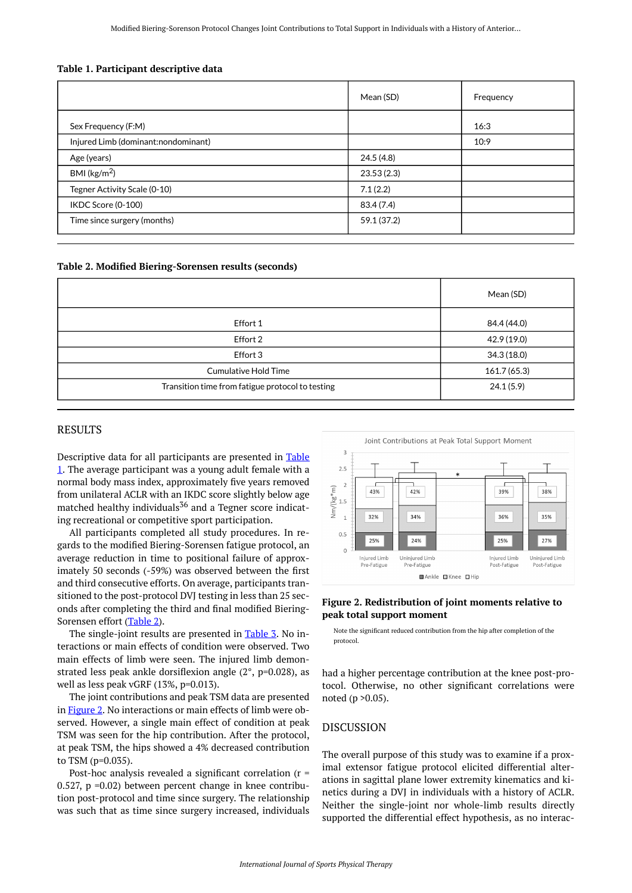#### <span id="page-3-0"></span>**Table 1. Participant descriptive data**

|                                     | Mean (SD)   | Frequency |
|-------------------------------------|-------------|-----------|
| Sex Frequency (F:M)                 |             | 16:3      |
| Injured Limb (dominant:nondominant) |             | 10:9      |
| Age (years)                         | 24.5(4.8)   |           |
| BMI ( $\text{kg/m}^2$ )             | 23.53(2.3)  |           |
| Tegner Activity Scale (0-10)        | 7.1(2.2)    |           |
| IKDC Score (0-100)                  | 83.4 (7.4)  |           |
| Time since surgery (months)         | 59.1 (37.2) |           |

#### <span id="page-3-1"></span>**Table 2. Modified Biering-Sorensen results (seconds)**

|                                                  | Mean (SD)    |
|--------------------------------------------------|--------------|
| Effort 1                                         | 84.4 (44.0)  |
| Effort 2                                         | 42.9 (19.0)  |
| Effort 3                                         | 34.3 (18.0)  |
| <b>Cumulative Hold Time</b>                      | 161.7 (65.3) |
| Transition time from fatigue protocol to testing | 24.1(5.9)    |

## <span id="page-3-2"></span>RESULTS

Descriptive data for all participants are presented in [Table](#page-3-0)  [1.](#page-3-0) The average participant was a young adult female with a normal body mass index, approximately five years removed from unilateral ACLR with an IKDC score slightly below age matched healthy individuals $36$  and a Tegner score indicating recreational or competitive sport participation.

All participants completed all study procedures. In regards to the modified Biering-Sorensen fatigue protocol, an average reduction in time to positional failure of approximately 50 seconds (-59%) was observed between the first and third consecutive efforts. On average, participants transitioned to the post-protocol DVJ testing in less than 25 seconds after completing the third and final modified Biering-Sorensen effort ([Table 2\)](#page-3-1).

The single-joint results are presented in [Table 3](#page-4-0). No interactions or main effects of condition were observed. Two main effects of limb were seen. The injured limb demonstrated less peak ankle dorsiflexion angle (2°, p=0.028), as well as less peak vGRF (13%, p=0.013).

The joint contributions and peak TSM data are presented in **Figure 2**. No interactions or main effects of limb were observed. However, a single main effect of condition at peak TSM was seen for the hip contribution. After the protocol, at peak TSM, the hips showed a 4% decreased contribution to TSM (p=0.035).

Post-hoc analysis revealed a significant correlation (r = 0.527, p =0.02) between percent change in knee contribution post-protocol and time since surgery. The relationship was such that as time since surgery increased, individuals



#### **Figure 2. Redistribution of joint moments relative to peak total support moment**

Note the significant reduced contribution from the hip after completion of the protocol.

had a higher percentage contribution at the knee post-protocol. Otherwise, no other significant correlations were noted (p >0.05).

#### DISCUSSION

The overall purpose of this study was to examine if a proximal extensor fatigue protocol elicited differential alterations in sagittal plane lower extremity kinematics and kinetics during a DVJ in individuals with a history of ACLR. Neither the single-joint nor whole-limb results directly supported the differential effect hypothesis, as no interac-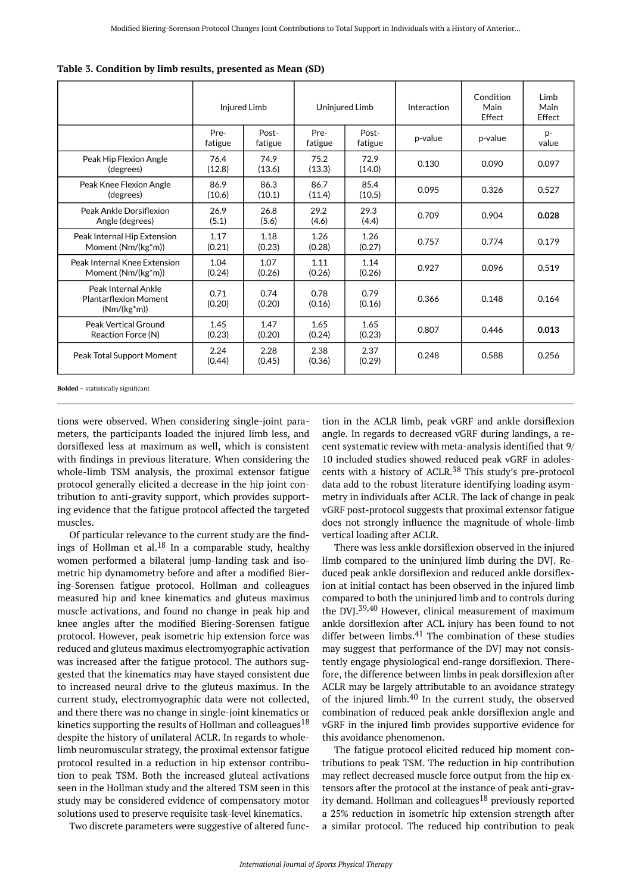|                                                                      | Injured Limb    |                  | Uninjured Limb  |                  | Interaction | Condition<br>Main<br>Effect | Limb<br>Main<br>Effect |
|----------------------------------------------------------------------|-----------------|------------------|-----------------|------------------|-------------|-----------------------------|------------------------|
|                                                                      | Pre-<br>fatigue | Post-<br>fatigue | Pre-<br>fatigue | Post-<br>fatigue | p-value     | p-value                     | $p-$<br>value          |
| Peak Hip Flexion Angle<br>(degrees)                                  | 76.4<br>(12.8)  | 74.9<br>(13.6)   | 75.2<br>(13.3)  | 72.9<br>(14.0)   | 0.130       | 0.090                       | 0.097                  |
| Peak Knee Flexion Angle<br>(degrees)                                 | 86.9<br>(10.6)  | 86.3<br>(10.1)   | 86.7<br>(11.4)  | 85.4<br>(10.5)   | 0.095       | 0.326                       | 0.527                  |
| Peak Ankle Dorsiflexion<br>Angle (degrees)                           | 26.9<br>(5.1)   | 26.8<br>(5.6)    | 29.2<br>(4.6)   | 29.3<br>(4.4)    | 0.709       | 0.904                       | 0.028                  |
| Peak Internal Hip Extension<br>Moment (Nm/(kg*m))                    | 1.17<br>(0.21)  | 1.18<br>(0.23)   | 1.26<br>(0.28)  | 1.26<br>(0.27)   | 0.757       | 0.774                       | 0.179                  |
| Peak Internal Knee Extension<br>Moment (Nm/(kg*m))                   | 1.04<br>(0.24)  | 1.07<br>(0.26)   | 1.11<br>(0.26)  | 1.14<br>(0.26)   | 0.927       | 0.096                       | 0.519                  |
| Peak Internal Ankle<br><b>Plantarflexion Moment</b><br>$(Nm/(kg*m))$ | 0.71<br>(0.20)  | 0.74<br>(0.20)   | 0.78<br>(0.16)  | 0.79<br>(0.16)   | 0.366       | 0.148                       | 0.164                  |
| Peak Vertical Ground<br>Reaction Force (N)                           | 1.45<br>(0.23)  | 1.47<br>(0.20)   | 1.65<br>(0.24)  | 1.65<br>(0.23)   | 0.807       | 0.446                       | 0.013                  |
| Peak Total Support Moment                                            | 2.24<br>(0.44)  | 2.28<br>(0.45)   | 2.38<br>(0.36)  | 2.37<br>(0.29)   | 0.248       | 0.588                       | 0.256                  |

<span id="page-4-0"></span>**Table 3. Condition by limb results, presented as Mean (SD)** 

**Bolded** – statistically significant

tions were observed. When considering single-joint parameters, the participants loaded the injured limb less, and dorsiflexed less at maximum as well, which is consistent with findings in previous literature. When considering the whole-limb TSM analysis, the proximal extensor fatigue protocol generally elicited a decrease in the hip joint contribution to anti-gravity support, which provides supporting evidence that the fatigue protocol affected the targeted muscles.

Of particular relevance to the current study are the findings of Hollman et al.<sup>18</sup> In a comparable study, healthy women performed a bilateral jump-landing task and isometric hip dynamometry before and after a modified Biering-Sorensen fatigue protocol. Hollman and colleagues measured hip and knee kinematics and gluteus maximus muscle activations, and found no change in peak hip and knee angles after the modified Biering-Sorensen fatigue protocol. However, peak isometric hip extension force was reduced and gluteus maximus electromyographic activation was increased after the fatigue protocol. The authors suggested that the kinematics may have stayed consistent due to increased neural drive to the gluteus maximus. In the current study, electromyographic data were not collected, and there there was no change in single-joint kinematics or kinetics supporting the results of Hollman and colleagues<sup>18</sup> despite the history of unilateral ACLR. In regards to wholelimb neuromuscular strategy, the proximal extensor fatigue protocol resulted in a reduction in hip extensor contribution to peak TSM. Both the increased gluteal activations seen in the Hollman study and the altered TSM seen in this study may be considered evidence of compensatory motor solutions used to preserve requisite task-level kinematics.

Two discrete parameters were suggestive of altered func-

tion in the ACLR limb, peak vGRF and ankle dorsiflexion angle. In regards to decreased vGRF during landings, a recent systematic review with meta-analysis identified that 9/ 10 included studies showed reduced peak vGRF in adolescents with a history of ACLR.<sup>38</sup> This study's pre-protocol data add to the robust literature identifying loading asymmetry in individuals after ACLR. The lack of change in peak vGRF post-protocol suggests that proximal extensor fatigue does not strongly influence the magnitude of whole-limb vertical loading after ACLR.

There was less ankle dorsiflexion observed in the injured limb compared to the uninjured limb during the DVJ. Reduced peak ankle dorsiflexion and reduced ankle dorsiflexion at initial contact has been observed in the injured limb compared to both the uninjured limb and to controls during the DVJ.<sup>39,40</sup> However, clinical measurement of maximum ankle dorsiflexion after ACL injury has been found to not differ between limbs. $41$  The combination of these studies may suggest that performance of the DVJ may not consistently engage physiological end-range dorsiflexion. Therefore, the difference between limbs in peak dorsiflexion after ACLR may be largely attributable to an avoidance strategy of the injured limb. $40$  In the current study, the observed combination of reduced peak ankle dorsiflexion angle and vGRF in the injured limb provides supportive evidence for this avoidance phenomenon.

The fatigue protocol elicited reduced hip moment contributions to peak TSM. The reduction in hip contribution may reflect decreased muscle force output from the hip extensors after the protocol at the instance of peak anti-gravity demand. Hollman and colleagues<sup>18</sup> previously reported a 25% reduction in isometric hip extension strength after a similar protocol. The reduced hip contribution to peak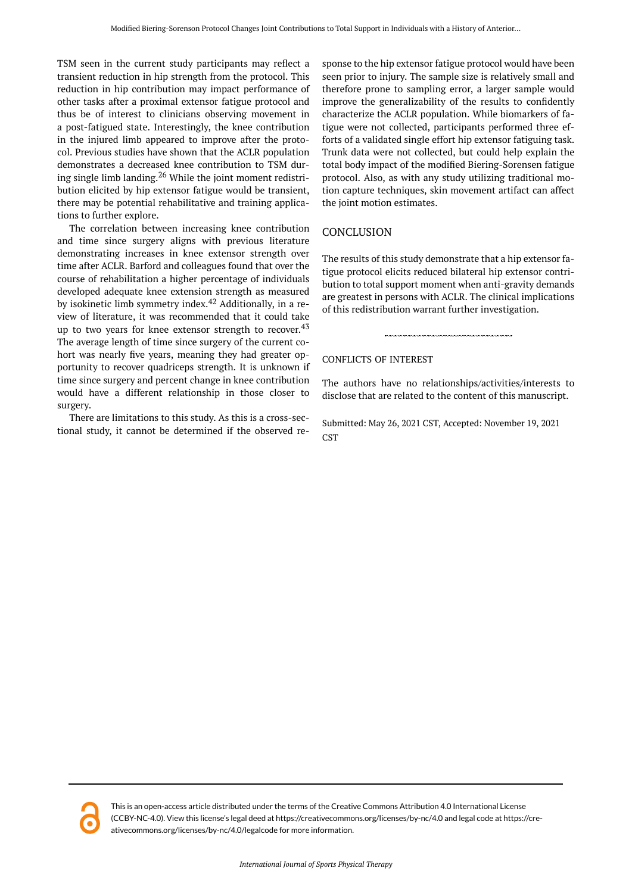TSM seen in the current study participants may reflect a transient reduction in hip strength from the protocol. This reduction in hip contribution may impact performance of other tasks after a proximal extensor fatigue protocol and thus be of interest to clinicians observing movement in a post-fatigued state. Interestingly, the knee contribution in the injured limb appeared to improve after the protocol. Previous studies have shown that the ACLR population demonstrates a decreased knee contribution to TSM during single limb landing.<sup>26</sup> While the joint moment redistribution elicited by hip extensor fatigue would be transient, there may be potential rehabilitative and training applications to further explore.

The correlation between increasing knee contribution and time since surgery aligns with previous literature demonstrating increases in knee extensor strength over time after ACLR. Barford and colleagues found that over the course of rehabilitation a higher percentage of individuals developed adequate knee extension strength as measured by isokinetic limb symmetry index.<sup>42</sup> Additionally, in a review of literature, it was recommended that it could take up to two years for knee extensor strength to recover. $^{43}$ The average length of time since surgery of the current cohort was nearly five years, meaning they had greater opportunity to recover quadriceps strength. It is unknown if time since surgery and percent change in knee contribution would have a different relationship in those closer to surgery.

There are limitations to this study. As this is a cross-sectional study, it cannot be determined if the observed response to the hip extensor fatigue protocol would have been seen prior to injury. The sample size is relatively small and therefore prone to sampling error, a larger sample would improve the generalizability of the results to confidently characterize the ACLR population. While biomarkers of fatigue were not collected, participants performed three efforts of a validated single effort hip extensor fatiguing task. Trunk data were not collected, but could help explain the total body impact of the modified Biering-Sorensen fatigue protocol. Also, as with any study utilizing traditional motion capture techniques, skin movement artifact can affect the joint motion estimates.

## **CONCLUSION**

The results of this study demonstrate that a hip extensor fatigue protocol elicits reduced bilateral hip extensor contribution to total support moment when anti-gravity demands are greatest in persons with ACLR. The clinical implications of this redistribution warrant further investigation.

## CONFLICTS OF INTEREST

The authors have no relationships/activities/interests to disclose that are related to the content of this manuscript.

Submitted: May 26, 2021 CST, Accepted: November 19, 2021 **CST** 



This is an open-access article distributed under the terms of the Creative Commons Attribution 4.0 International License (CCBY-NC-4.0). View this license's legal deed at https://creativecommons.org/licenses/by-nc/4.0 and legal code at https://creativecommons.org/licenses/by-nc/4.0/legalcode for more information.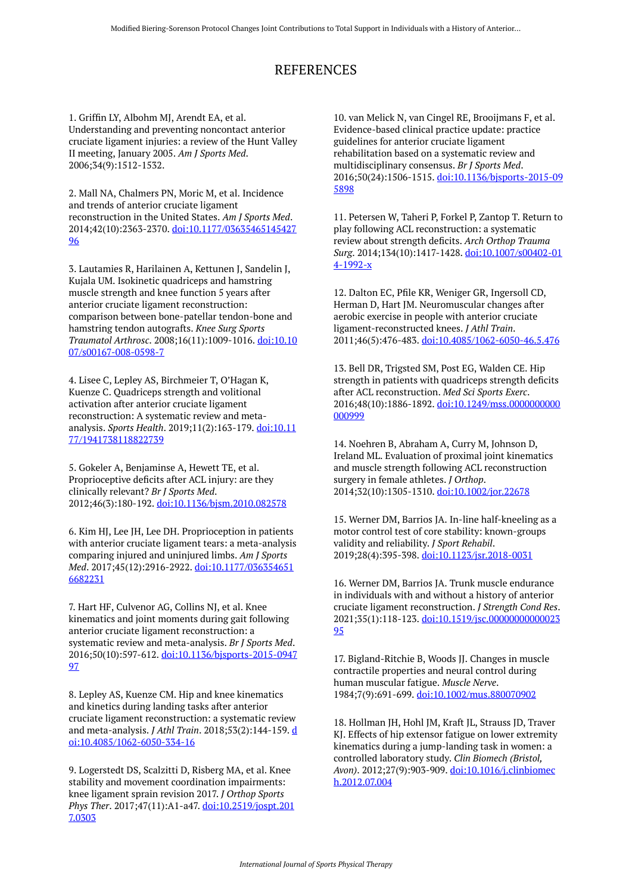# REFERENCES

1. Griffin LY, Albohm MJ, Arendt EA, et al. Understanding and preventing noncontact anterior cruciate ligament injuries: a review of the Hunt Valley II meeting, January 2005. *Am J Sports Med*. 2006;34(9):1512-1532.

2. Mall NA, Chalmers PN, Moric M, et al. Incidence and trends of anterior cruciate ligament reconstruction in the United States. *Am J Sports Med*. 2014;42(10):2363-2370. [doi:10.1177/03635465145427](https://doi.org/10.1177/0363546514542796) [96](https://doi.org/10.1177/0363546514542796)

3. Lautamies R, Harilainen A, Kettunen J, Sandelin J, Kujala UM. Isokinetic quadriceps and hamstring muscle strength and knee function 5 years after anterior cruciate ligament reconstruction: comparison between bone-patellar tendon-bone and hamstring tendon autografts. *Knee Surg Sports Traumatol Arthrosc*. 2008;16(11):1009-1016. [doi:10.10](https://doi.org/10.1007/s00167-008-0598-7) [07/s00167-008-0598-7](https://doi.org/10.1007/s00167-008-0598-7) 

4. Lisee C, Lepley AS, Birchmeier T, O'Hagan K, Kuenze C. Quadriceps strength and volitional activation after anterior cruciate ligament reconstruction: A systematic review and metaanalysis. *Sports Health*. 2019;11(2):163-179. [doi:10.11](https://doi.org/10.1177/1941738118822739) [77/1941738118822739](https://doi.org/10.1177/1941738118822739)

5. Gokeler A, Benjaminse A, Hewett TE, et al. Proprioceptive deficits after ACL injury: are they clinically relevant? *Br J Sports Med*. 2012;46(3):180-192. [doi:10.1136/bjsm.2010.082578](https://doi.org/10.1136/bjsm.2010.082578) 

6. Kim HJ, Lee JH, Lee DH. Proprioception in patients with anterior cruciate ligament tears: a meta-analysis comparing injured and uninjured limbs. *Am J Sports Med*. 2017;45(12):2916-2922. [doi:10.1177/036354651](https://doi.org/10.1177/0363546516682231) [6682231](https://doi.org/10.1177/0363546516682231)

7. Hart HF, Culvenor AG, Collins NJ, et al. Knee kinematics and joint moments during gait following anterior cruciate ligament reconstruction: a systematic review and meta-analysis. *Br J Sports Med*. 2016;50(10):597-612. [doi:10.1136/bjsports-2015-0947](https://doi.org/10.1136/bjsports-2015-094797) [97](https://doi.org/10.1136/bjsports-2015-094797)

8. Lepley AS, Kuenze CM. Hip and knee kinematics and kinetics during landing tasks after anterior cruciate ligament reconstruction: a systematic review and meta-analysis. *J Athl Train*. 2018;53(2):144-159. [d](https://doi.org/10.4085/1062-6050-334-16) [oi:10.4085/1062-6050-334-16](https://doi.org/10.4085/1062-6050-334-16) 

9. Logerstedt DS, Scalzitti D, Risberg MA, et al. Knee stability and movement coordination impairments: knee ligament sprain revision 2017. *J Orthop Sports Phys Ther*. 2017;47(11):A1-a47. [doi:10.2519/jospt.201](https://doi.org/10.2519/jospt.2017.0303) [7.0303](https://doi.org/10.2519/jospt.2017.0303)

10. van Melick N, van Cingel RE, Brooijmans F, et al. Evidence-based clinical practice update: practice guidelines for anterior cruciate ligament rehabilitation based on a systematic review and multidisciplinary consensus. *Br J Sports Med*. 2016;50(24):1506-1515. [doi:10.1136/bjsports-2015-09](https://doi.org/10.1136/bjsports-2015-095898) [5898](https://doi.org/10.1136/bjsports-2015-095898) 

11. Petersen W, Taheri P, Forkel P, Zantop T. Return to play following ACL reconstruction: a systematic review about strength deficits. *Arch Orthop Trauma Surg*. 2014;134(10):1417-1428. [doi:10.1007/s00402-01](https://doi.org/10.1007/s00402-014-1992-x) [4-1992-x](https://doi.org/10.1007/s00402-014-1992-x)

12. Dalton EC, Pfile KR, Weniger GR, Ingersoll CD, Herman D, Hart JM. Neuromuscular changes after aerobic exercise in people with anterior cruciate ligament-reconstructed knees. *J Athl Train*. 2011;46(5):476-483. [doi:10.4085/1062-6050-46.5.476](https://doi.org/10.4085/1062-6050-46.5.476)

13. Bell DR, Trigsted SM, Post EG, Walden CE. Hip strength in patients with quadriceps strength deficits after ACL reconstruction. *Med Sci Sports Exerc*. 2016;48(10):1886-1892. [doi:10.1249/mss.0000000000](https://doi.org/10.1249/mss.0000000000000999) [000999](https://doi.org/10.1249/mss.0000000000000999)

14. Noehren B, Abraham A, Curry M, Johnson D, Ireland ML. Evaluation of proximal joint kinematics and muscle strength following ACL reconstruction surgery in female athletes. *J Orthop*. 2014;32(10):1305-1310. [doi:10.1002/jor.22678](https://doi.org/10.1002/jor.22678) 

15. Werner DM, Barrios JA. In-line half-kneeling as a motor control test of core stability: known-groups validity and reliability. *J Sport Rehabil*. 2019;28(4):395-398. [doi:10.1123/jsr.2018-0031](https://doi.org/10.1123/jsr.2018-0031) 

16. Werner DM, Barrios JA. Trunk muscle endurance in individuals with and without a history of anterior cruciate ligament reconstruction. *J Strength Cond Res*. 2021;35(1):118-123. [doi:10.1519/jsc.00000000000023](https://doi.org/10.1519/jsc.0000000000002395) [95](https://doi.org/10.1519/jsc.0000000000002395)

17. Bigland-Ritchie B, Woods JJ. Changes in muscle contractile properties and neural control during human muscular fatigue. *Muscle Nerve*. 1984;7(9):691-699. [doi:10.1002/mus.880070902](https://doi.org/10.1002/mus.880070902)

18. Hollman JH, Hohl JM, Kraft JL, Strauss JD, Traver KJ. Effects of hip extensor fatigue on lower extremity kinematics during a jump-landing task in women: a controlled laboratory study. *Clin Biomech (Bristol, Avon)*. 2012;27(9):903-909. [doi:10.1016/j.clinbiomec](https://doi.org/10.1016/j.clinbiomech.2012.07.004) [h.2012.07.004](https://doi.org/10.1016/j.clinbiomech.2012.07.004)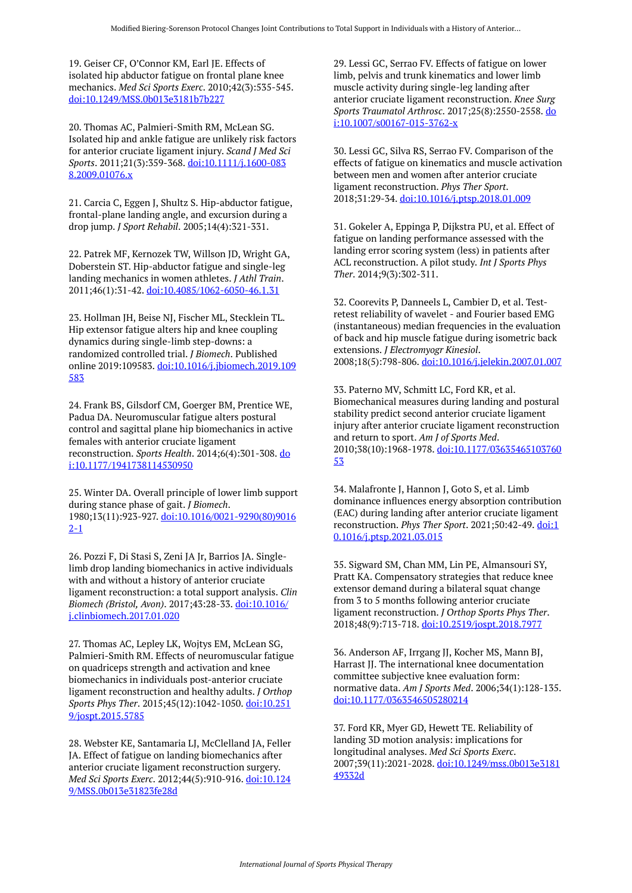19. Geiser CF, O'Connor KM, Earl JE. Effects of isolated hip abductor fatigue on frontal plane knee mechanics. *Med Sci Sports Exerc*. 2010;42(3):535-545. [doi:10.1249/MSS.0b013e3181b7b227](https://doi.org/10.1249/MSS.0b013e3181b7b227) 

20. Thomas AC, Palmieri-Smith RM, McLean SG. Isolated hip and ankle fatigue are unlikely risk factors for anterior cruciate ligament injury. *Scand J Med Sci Sports*. 2011;21(3):359-368. [doi:10.1111/j.1600-083](https://doi.org/10.1111/j.1600-0838.2009.01076.x) [8.2009.01076.x](https://doi.org/10.1111/j.1600-0838.2009.01076.x) 

21. Carcia C, Eggen J, Shultz S. Hip-abductor fatigue, frontal-plane landing angle, and excursion during a drop jump. *J Sport Rehabil*. 2005;14(4):321-331.

22. Patrek MF, Kernozek TW, Willson JD, Wright GA, Doberstein ST. Hip-abductor fatigue and single-leg landing mechanics in women athletes. *J Athl Train*. 2011;46(1):31-42. [doi:10.4085/1062-6050-46.1.31](https://doi.org/10.4085/1062-6050-46.1.31)

23. Hollman JH, Beise NJ, Fischer ML, Stecklein TL. Hip extensor fatigue alters hip and knee coupling dynamics during single-limb step-downs: a randomized controlled trial. *J Biomech*. Published online 2019:109583. [doi:10.1016/j.jbiomech.2019.109](https://doi.org/10.1016/j.jbiomech.2019.109583) [583](https://doi.org/10.1016/j.jbiomech.2019.109583)

24. Frank BS, Gilsdorf CM, Goerger BM, Prentice WE, Padua DA. Neuromuscular fatigue alters postural control and sagittal plane hip biomechanics in active females with anterior cruciate ligament reconstruction. *Sports Health*. 2014;6(4):301-308. [do](https://doi.org/10.1177/1941738114530950) [i:10.1177/1941738114530950](https://doi.org/10.1177/1941738114530950) 

25. Winter DA. Overall principle of lower limb support during stance phase of gait. *J Biomech*. 1980;13(11):923-927. [doi:10.1016/0021-9290\(80\)9016](https://doi.org/10.1016/0021-9290(80)90162-1) [2-1](https://doi.org/10.1016/0021-9290(80)90162-1)

26. Pozzi F, Di Stasi S, Zeni JA Jr, Barrios JA. Singlelimb drop landing biomechanics in active individuals with and without a history of anterior cruciate ligament reconstruction: a total support analysis. *Clin Biomech (Bristol, Avon)*. 2017;43:28-33. [doi:10.1016/](https://doi.org/10.1016/j.clinbiomech.2017.01.020) [j.clinbiomech.2017.01.020](https://doi.org/10.1016/j.clinbiomech.2017.01.020)

27. Thomas AC, Lepley LK, Wojtys EM, McLean SG, Palmieri-Smith RM. Effects of neuromuscular fatigue on quadriceps strength and activation and knee biomechanics in individuals post-anterior cruciate ligament reconstruction and healthy adults. *J Orthop Sports Phys Ther*. 2015;45(12):1042-1050. [doi:10.251](https://doi.org/10.2519/jospt.2015.5785) [9/jospt.2015.5785](https://doi.org/10.2519/jospt.2015.5785) 

28. Webster KE, Santamaria LJ, McClelland JA, Feller JA. Effect of fatigue on landing biomechanics after anterior cruciate ligament reconstruction surgery. *Med Sci Sports Exerc*. 2012;44(5):910-916. [doi:10.124](https://doi.org/10.1249/MSS.0b013e31823fe28d) [9/MSS.0b013e31823fe28d](https://doi.org/10.1249/MSS.0b013e31823fe28d)

29. Lessi GC, Serrao FV. Effects of fatigue on lower limb, pelvis and trunk kinematics and lower limb muscle activity during single-leg landing after anterior cruciate ligament reconstruction. *Knee Surg Sports Traumatol Arthrosc*. 2017;25(8):2550-2558. [do](https://doi.org/10.1007/s00167-015-3762-x) [i:10.1007/s00167-015-3762-x](https://doi.org/10.1007/s00167-015-3762-x)

30. Lessi GC, Silva RS, Serrao FV. Comparison of the effects of fatigue on kinematics and muscle activation between men and women after anterior cruciate ligament reconstruction. *Phys Ther Sport*. 2018;31:29-34. [doi:10.1016/j.ptsp.2018.01.009](https://doi.org/10.1016/j.ptsp.2018.01.009)

31. Gokeler A, Eppinga P, Dijkstra PU, et al. Effect of fatigue on landing performance assessed with the landing error scoring system (less) in patients after ACL reconstruction. A pilot study. *Int J Sports Phys Ther*. 2014;9(3):302-311.

32. Coorevits P, Danneels L, Cambier D, et al. Testretest reliability of wavelet - and Fourier based EMG (instantaneous) median frequencies in the evaluation of back and hip muscle fatigue during isometric back extensions. *J Electromyogr Kinesiol*. 2008;18(5):798-806. [doi:10.1016/j.jelekin.2007.01.007](https://doi.org/10.1016/j.jelekin.2007.01.007)

33. Paterno MV, Schmitt LC, Ford KR, et al. Biomechanical measures during landing and postural stability predict second anterior cruciate ligament injury after anterior cruciate ligament reconstruction and return to sport. *Am J of Sports Med*. 2010;38(10):1968-1978. [doi:10.1177/03635465103760](https://doi.org/10.1177/0363546510376053) [53](https://doi.org/10.1177/0363546510376053)

34. Malafronte J, Hannon J, Goto S, et al. Limb dominance influences energy absorption contribution (EAC) during landing after anterior cruciate ligament reconstruction. *Phys Ther Sport*. 2021;50:42-49. [doi:1](https://doi.org/10.1016/j.ptsp.2021.03.015) [0.1016/j.ptsp.2021.03.015](https://doi.org/10.1016/j.ptsp.2021.03.015)

35. Sigward SM, Chan MM, Lin PE, Almansouri SY, Pratt KA. Compensatory strategies that reduce knee extensor demand during a bilateral squat change from 3 to 5 months following anterior cruciate ligament reconstruction. *J Orthop Sports Phys Ther*. 2018;48(9):713-718. [doi:10.2519/jospt.2018.7977](https://doi.org/10.2519/jospt.2018.7977) 

36. Anderson AF, Irrgang JJ, Kocher MS, Mann BJ, Harrast II. The international knee documentation committee subjective knee evaluation form: normative data. *Am J Sports Med*. 2006;34(1):128-135. [doi:10.1177/0363546505280214](https://doi.org/10.1177/0363546505280214)

37. Ford KR, Myer GD, Hewett TE. Reliability of landing 3D motion analysis: implications for longitudinal analyses. *Med Sci Sports Exerc*. 2007;39(11):2021-2028. [doi:10.1249/mss.0b013e3181](https://doi.org/10.1249/mss.0b013e318149332d) [49332d](https://doi.org/10.1249/mss.0b013e318149332d)